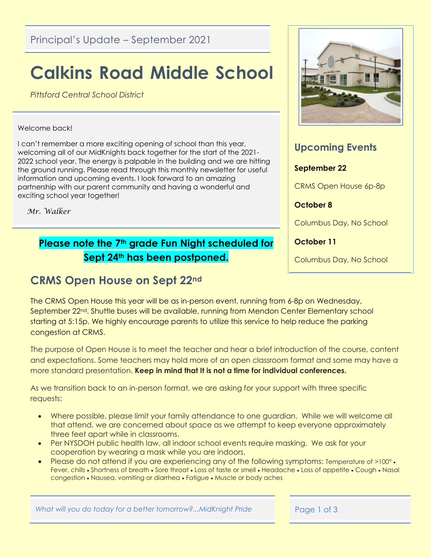Principal's Update – September 2021

# **Calkins Road Middle School**

*Pittsford Central School District*

#### Welcome back!

I can't remember a more exciting opening of school than this year, welcoming all of our MidKnights back together for the start of the 2021- 2022 school year. The energy is palpable in the building and we are hitting the ground running. Please read through this monthly newsletter for useful information and upcoming events. I look forward to an amazing partnership with our parent community and having a wonderful and exciting school year together!

 *Mr. Walker*

### **Please note the 7th grade Fun Night scheduled for Sept 24th has been postponed.**

## **CRMS Open House on Sept 22nd**



#### **Upcoming Events**

#### **September 22**

CRMS Open House 6p-8p

#### **October 8**

Columbus Day, No School

**October 11**

Columbus Day, No School

The CRMS Open House this year will be as in-person event, running from 6-8p on Wednesday, September 22nd. Shuttle buses will be available, running from Mendon Center Elementary school starting at 5:15p. We highly encourage parents to utilize this service to help reduce the parking congestion at CRMS.

The purpose of Open House is to meet the teacher and hear a brief introduction of the course, content and expectations. Some teachers may hold more of an open classroom format and some may have a more standard presentation. **Keep in mind that It is not a time for individual conferences.** 

As we transition back to an in-person format, we are asking for your support with three specific requests:

- Where possible, please limit your family attendance to one guardian. While we will welcome all that attend, we are concerned about space as we attempt to keep everyone approximately three feet apart while in classrooms.
- Per NYSDOH public health law, all indoor school events require masking. We ask for your cooperation by wearing a mask while you are indoors.
- Please do not attend if you are experiencing any of the following symptoms: Temperature of >100°. Fever, chills • Shortness of breath • Sore throat • Loss of taste or smell • Headache • Loss of appetite • Cough • Nasal congestion Nausea, vomiting or diarrhea Fatigue Muscle or body aches

What will you do today for a better tomorrow?...MidKnight Pride Page 1 of 3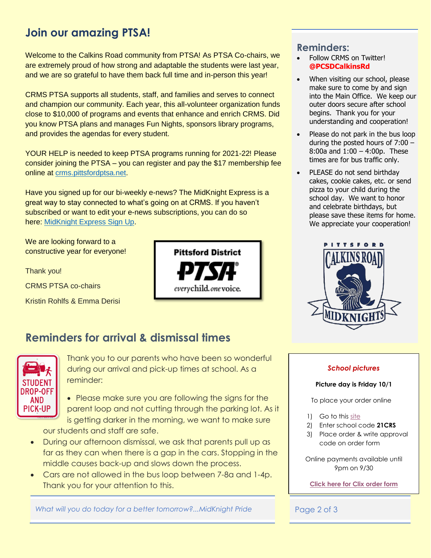## **Join our amazing PTSA!**

Welcome to the Calkins Road community from PTSA! As PTSA Co-chairs, we are extremely proud of how strong and adaptable the students were last year, and we are so grateful to have them back full time and in-person this year!

CRMS PTSA supports all students, staff, and families and serves to connect and champion our community. Each year, this all-volunteer organization funds close to \$10,000 of programs and events that enhance and enrich CRMS. Did you know PTSA plans and manages Fun Nights, sponsors library programs, and provides the agendas for every student.

YOUR HELP is needed to keep PTSA programs running for 2021-22! Please consider joining the PTSA – you can register and pay the \$17 membership fee online at [crms.pittsfordptsa.net.](https://www.crms.pittsfordptsa.net/)

Have you signed up for our bi-weekly e-news? The MidKnight Express is a great way to stay connected to what's going on at CRMS. If you haven't subscribed or want to edit your e-news subscriptions, you can do so here: [MidKnight Express Sign Up.](https://pittsfordptsa.us17.list-manage.com/subscribe?u=257538587617821bc8e51cdeb&id=006b55dff5)

We are looking forward to a constructive year for everyone!

Thank you!

CRMS PTSA co-chairs

Kristin Rohlfs & Emma Derisi



## **Reminders for arrival & dismissal times**



Thank you to our parents who have been so wonderful during our arrival and pick-up times at school. As a reminder:

- Please make sure you are following the signs for the parent loop and not cutting through the parking lot. As it is getting darker in the morning, we want to make sure our students and staff are safe.
- During our afternoon dismissal, we ask that parents pull up as far as they can when there is a gap in the cars. Stopping in the middle causes back-up and slows down the process.
- Cars are not allowed in the bus loop between 7-8a and 1-4p. Thank you for your attention to this.

What will you do today for a better tomorrow?...MidKnight Pride Page 2 of 3

#### **Reminders:**

- Follow CRMS on Twitter! **@PCSDCalkinsRd**
- When visiting our school, please make sure to come by and sign into the Main Office. We keep our outer doors secure after school begins. Thank you for your understanding and cooperation!
- Please do not park in the bus loop during the posted hours of 7:00 – 8:00a and 1:00 – 4:00p. These times are for bus traffic only.
- PLEASE do not send birthday cakes, cookie cakes, etc. or send pizza to your child during the school day. We want to honor and celebrate birthdays, but please save these items for home. We appreciate your cooperation!



#### *School pictures*

#### **Picture day is Friday 10/1**

To place your order online

- 1) Go to this [site](https://clixrochester.com/new-page-2)
- 2) Enter school code **21CRS**
- 3) Place order & write approval code on order form

Online payments available until 9pm on 9/30

**[Click here for Clix order form](https://www.pittsfordschools.org/cms/lib/NY02205365/Centricity/Domain/617/Calkins%20Rd%20Middle%20School-2021-22.pdf)**